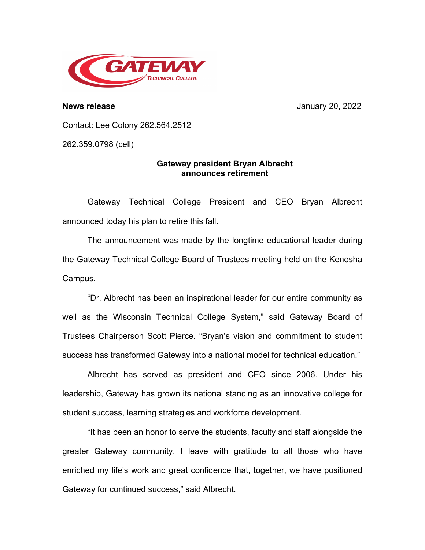

**News release** January 20, 2022

Contact: Lee Colony 262.564.2512

262.359.0798 (cell)

## **Gateway president Bryan Albrecht announces retirement**

Gateway Technical College President and CEO Bryan Albrecht announced today his plan to retire this fall.

The announcement was made by the longtime educational leader during the Gateway Technical College Board of Trustees meeting held on the Kenosha Campus.

"Dr. Albrecht has been an inspirational leader for our entire community as well as the Wisconsin Technical College System," said Gateway Board of Trustees Chairperson Scott Pierce. "Bryan's vision and commitment to student success has transformed Gateway into a national model for technical education."

Albrecht has served as president and CEO since 2006. Under his leadership, Gateway has grown its national standing as an innovative college for student success, learning strategies and workforce development.

"It has been an honor to serve the students, faculty and staff alongside the greater Gateway community. I leave with gratitude to all those who have enriched my life's work and great confidence that, together, we have positioned Gateway for continued success," said Albrecht.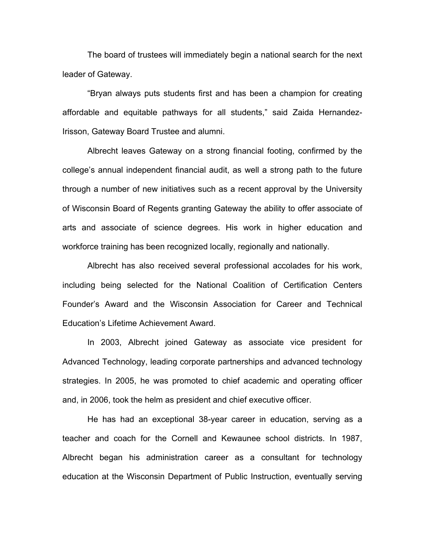The board of trustees will immediately begin a national search for the next leader of Gateway.

"Bryan always puts students first and has been a champion for creating affordable and equitable pathways for all students," said Zaida Hernandez-Irisson, Gateway Board Trustee and alumni.

Albrecht leaves Gateway on a strong financial footing, confirmed by the college's annual independent financial audit, as well a strong path to the future through a number of new initiatives such as a recent approval by the University of Wisconsin Board of Regents granting Gateway the ability to offer associate of arts and associate of science degrees. His work in higher education and workforce training has been recognized locally, regionally and nationally.

Albrecht has also received several professional accolades for his work, including being selected for the National Coalition of Certification Centers Founder's Award and the Wisconsin Association for Career and Technical Education's Lifetime Achievement Award.

In 2003, Albrecht joined Gateway as associate vice president for Advanced Technology, leading corporate partnerships and advanced technology strategies. In 2005, he was promoted to chief academic and operating officer and, in 2006, took the helm as president and chief executive officer.

He has had an exceptional 38-year career in education, serving as a teacher and coach for the Cornell and Kewaunee school districts. In 1987, Albrecht began his administration career as a consultant for technology education at the Wisconsin Department of Public Instruction, eventually serving